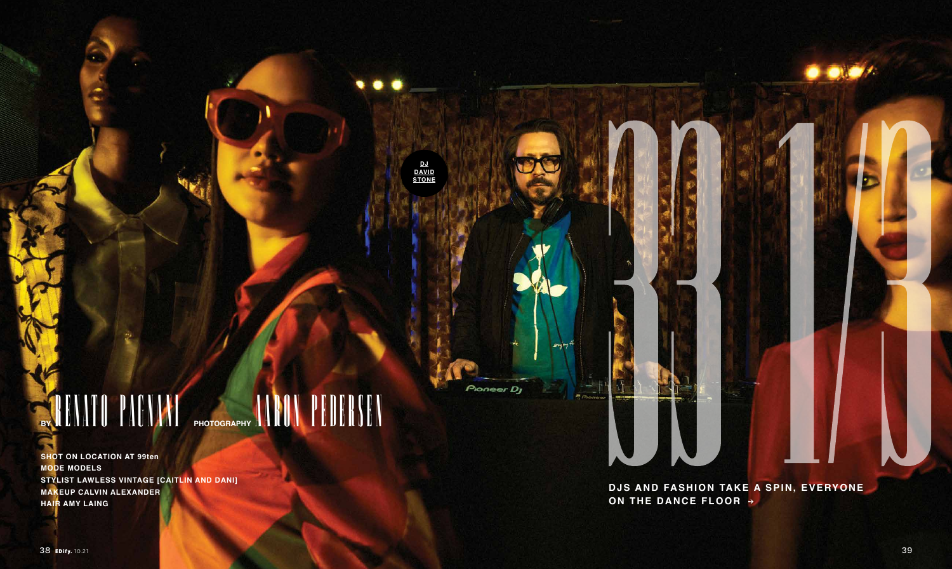<u>DJ</u><br>DAVID<br>STONE

SAHATU PAGAAH PHOTOGRAPHY AARUM PEDERSEN

**SHOT ON LOCATION AT 99ten MODE MODELS** STYLIST LAWLESS VINTAGE [CAITLIN AND DANI] MAKEUP CALVIN ALEXANDER **HAIR AMY LAING** 

Pioneer Dy

DJS AND FASHION TAKE A SPIN, EVERYONE ON THE DANCE FLOOR >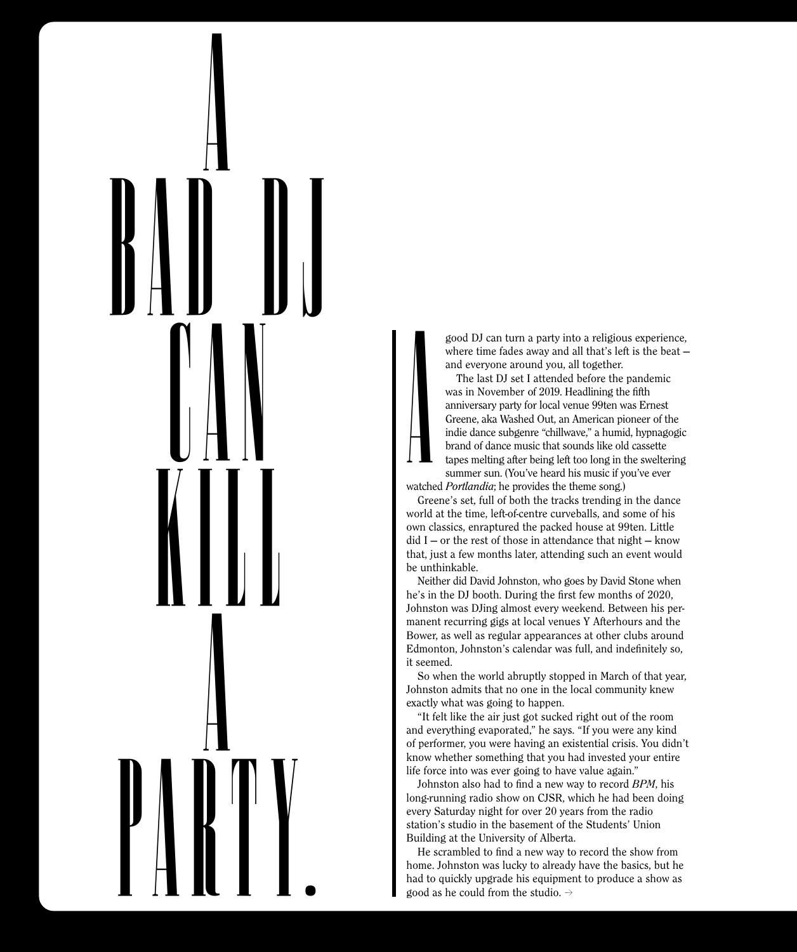A bad DJ can kill **a**<br>define party.

good DJ can turn a party into a religious experience, where time fades away and all that's left is the beat and everyone around you, all together.

The last DJ set I attended before the pandemic was in November of 2019. Headlining the fifth anniversary party for local venue 99ten was Ernest Greene, aka Washed Out, an American pioneer of the indie dance subgenre "chillwave," a humid, hypnagogic brand of dance music that sounds like old cassette tapes melting after being left too long in the sweltering summer sun. (You've heard his music if you've ever

watched *Portlandia*; he provides the theme song.) A

Greene's set, full of both the tracks trending in the dance world at the time, left-of-centre curveballs, and some of his own classics, enraptured the packed house at 99ten. Little  $did I - or the rest of those in attendance that night - know$ that, just a few months later, attending such an event would be unthinkable.

Neither did David Johnston, who goes by David Stone when he's in the DJ booth. During the first few months of 2020, Johnston was DJing almost every weekend. Between his permanent recurring gigs at local venues Y Afterhours and the Bower, as well as regular appearances at other clubs around Edmonton, Johnston's calendar was full, and indefinitely so, it seemed.

So when the world abruptly stopped in March of that year, Johnston admits that no one in the local community knew exactly what was going to happen.

"It felt like the air just got sucked right out of the room and everything evaporated," he says. "If you were any kind of performer, you were having an existential crisis. You didn't know whether something that you had invested your entire life force into was ever going to have value again."

Johnston also had to find a new way to record *BPM*, his long-running radio show on CJSR, which he had been doing every Saturday night for over 20 years from the radio station's studio in the basement of the Students' Union Building at the University of Alberta.

He scrambled to find a new way to record the show from home. Johnston was lucky to already have the basics, but he had to quickly upgrade his equipment to produce a show as good as he could from the studio.  $\rightarrow$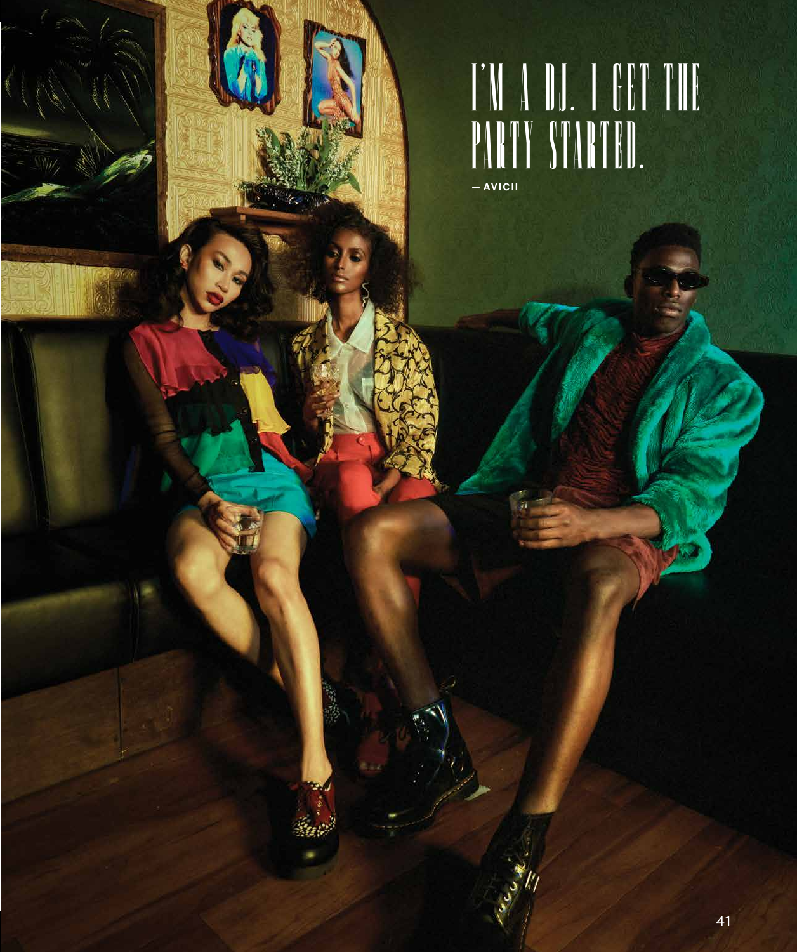##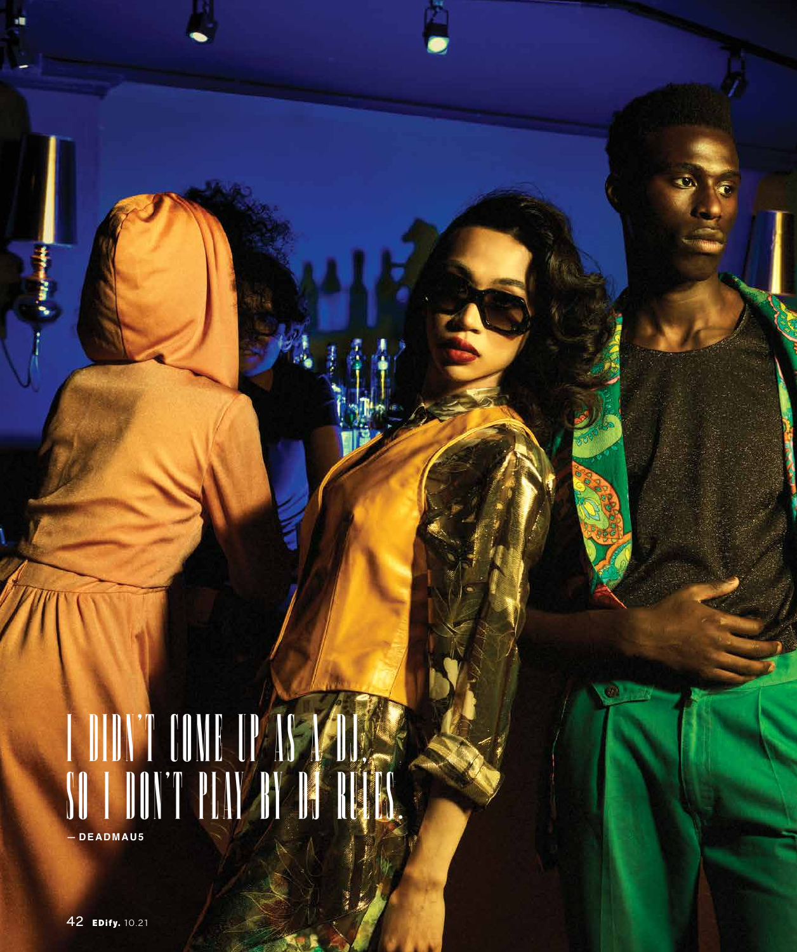##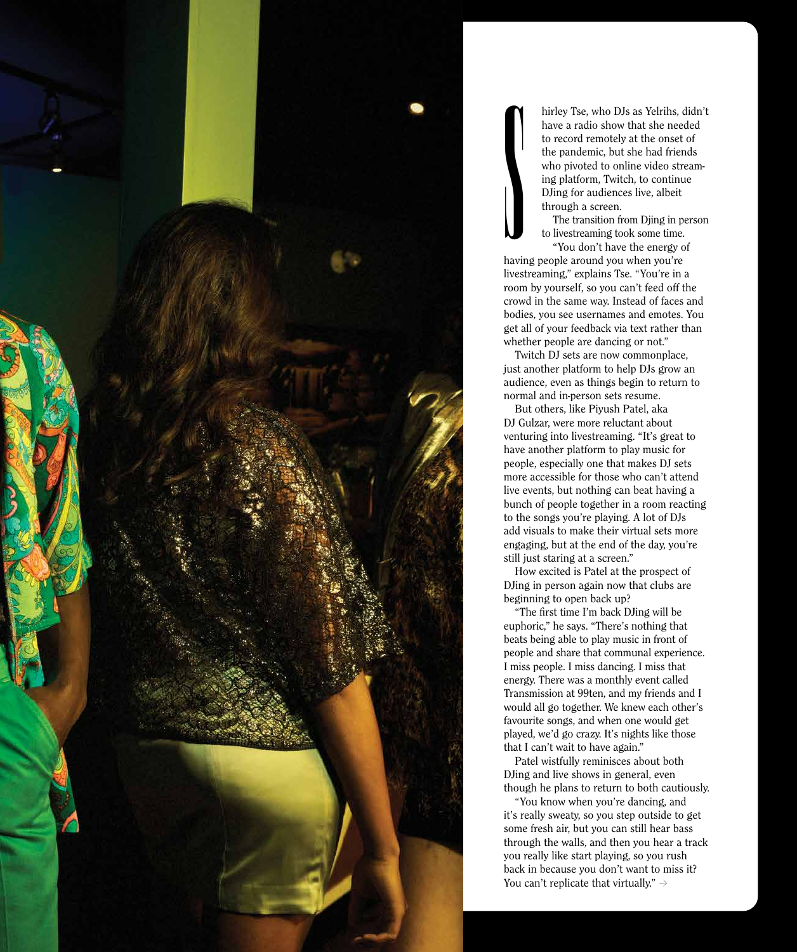

hirley Tse, who DJs as Yelrihs, didn't have a radio show that she needed to record remotely at the onset of the pandemic, but she had friends who pivoted to online video streaming platform, Twitch, to continue DJing for audiences live, albeit through a screen.

The transition from Djing in person to livestreaming took some time. "You don't have the energy of

having people around you when you're livestreaming," explains Tse. "You're in a room by yourself, so you can't feed off the crowd in the same way. Instead of faces and bodies, you see usernames and emotes. You get all of your feedback via text rather than whether people are dancing or not." S

Twitch DJ sets are now commonplace, just another platform to help DJs grow an audience, even as things begin to return to normal and in-person sets resume.

But others, like Piyush Patel, aka DJ Gulzar, were more reluctant about venturing into livestreaming. "It's great to have another platform to play music for people, especially one that makes DJ sets more accessible for those who can't attend live events, but nothing can beat having a bunch of people together in a room reacting to the songs you're playing. A lot of DJs add visuals to make their virtual sets more engaging, but at the end of the day, you're still just staring at a screen."

How excited is Patel at the prospect of DJing in person again now that clubs are beginning to open back up?

"The first time I'm back DJing will be euphoric," he says. "There's nothing that beats being able to play music in front of people and share that communal experience. I miss people. I miss dancing. I miss that energy. There was a monthly event called Transmission at 99ten, and my friends and I would all go together. We knew each other's favourite songs, and when one would get played, we'd go crazy. It's nights like those that I can't wait to have again."

Patel wistfully reminisces about both DJing and live shows in general, even though he plans to return to both cautiously.

"You know when you're dancing, and it's really sweaty, so you step outside to get some fresh air, but you can still hear bass through the walls, and then you hear a track you really like start playing, so you rush back in because you don't want to miss it? You can't replicate that virtually."  $\rightarrow$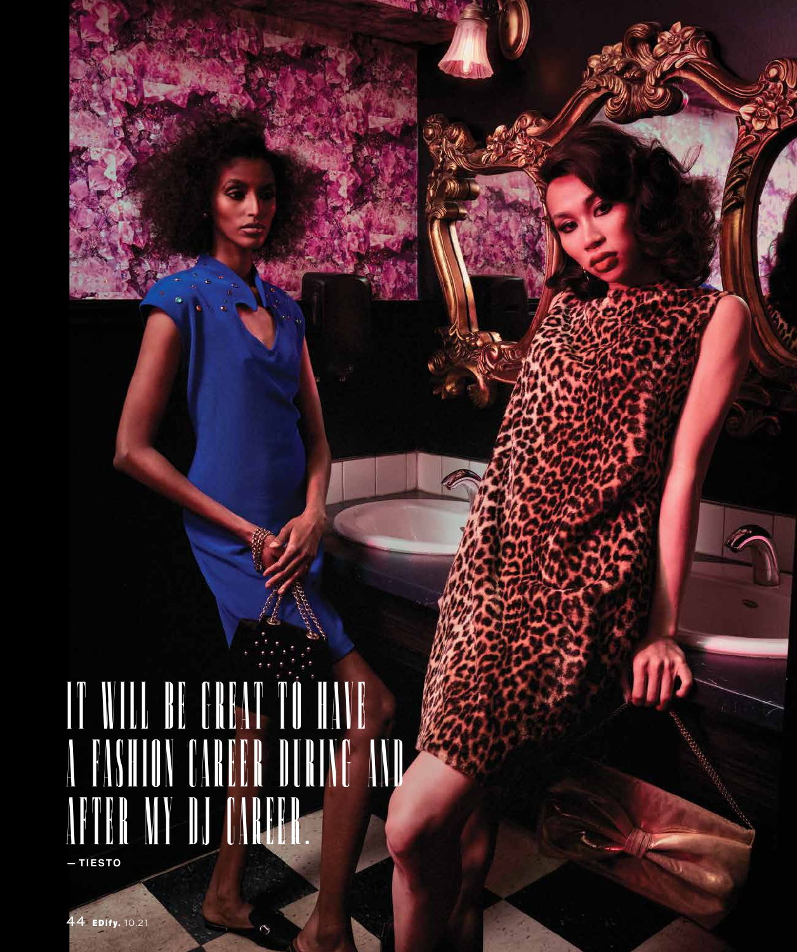## **TIESTO**

4 EDify. 10.21